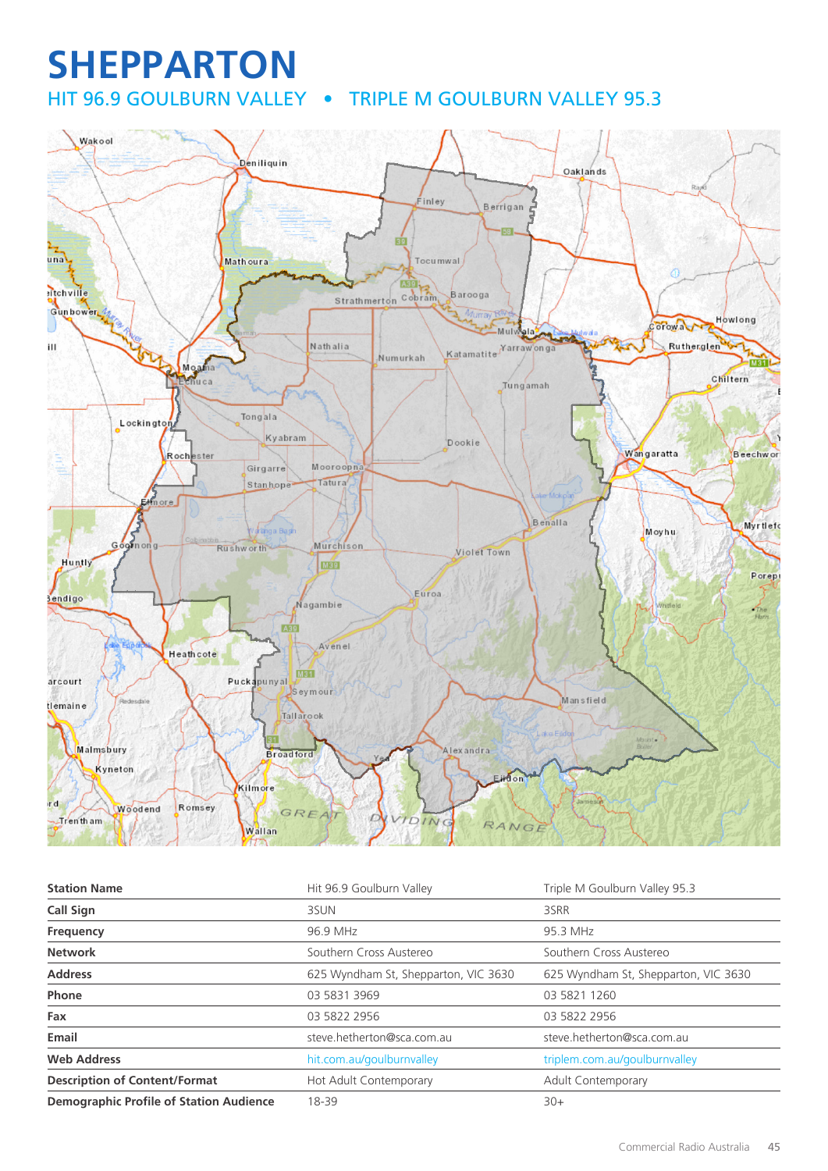# **SHEPPARTON**

HIT 96.9 GOULBURN VALLEY . TRIPLE M GOULBURN VALLEY 95.3



| <b>Station Name</b>                            | Hit 96.9 Goulburn Valley             | Triple M Goulburn Valley 95.3        |
|------------------------------------------------|--------------------------------------|--------------------------------------|
| <b>Call Sign</b>                               | 3SUN                                 | 3SRR                                 |
| Frequency                                      | 96.9 MHz                             | 95.3 MHz                             |
| <b>Network</b>                                 | Southern Cross Austereo              | Southern Cross Austereo              |
| <b>Address</b>                                 | 625 Wyndham St, Shepparton, VIC 3630 | 625 Wyndham St, Shepparton, VIC 3630 |
| Phone                                          | 03 5831 3969                         | 03 5821 1260                         |
| Fax                                            | 03 5822 2956                         | 03 5822 2956                         |
| Email                                          | steve.hetherton@sca.com.au           | steve.hetherton@sca.com.au           |
| <b>Web Address</b>                             | hit.com.au/goulburnvalley            | triplem.com.au/goulburnvalley        |
| <b>Description of Content/Format</b>           | Hot Adult Contemporary               | Adult Contemporary                   |
| <b>Demographic Profile of Station Audience</b> | 18-39                                | $30+$                                |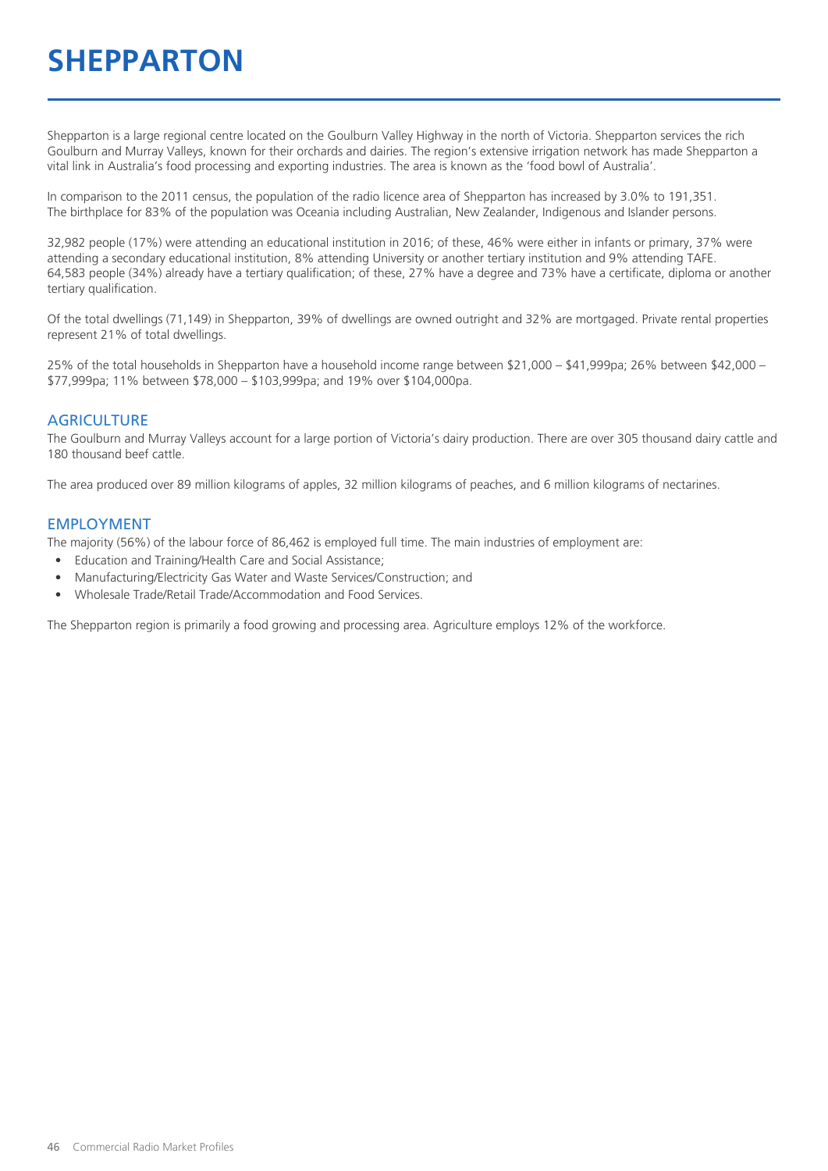# **SHEPPARTON**

Shepparton is a large regional centre located on the Goulburn Valley Highway in the north of Victoria. Shepparton services the rich Goulburn and Murray Valleys, known for their orchards and dairies. The region's extensive irrigation network has made Shepparton a vital link in Australia's food processing and exporting industries. The area is known as the 'food bowl of Australia'.

In comparison to the 2011 census, the population of the radio licence area of Shepparton has increased by 3.0% to 191,351. The birthplace for 83% of the population was Oceania including Australian, New Zealander, Indigenous and Islander persons.

32,982 people (17%) were attending an educational institution in 2016; of these, 46% were either in infants or primary, 37% were attending a secondary educational institution, 8% attending University or another tertiary institution and 9% attending TAFE. 64,583 people (34%) already have a tertiary qualification; of these, 27% have a degree and 73% have a certificate, diploma or another tertiary qualification.

Of the total dwellings (71,149) in Shepparton, 39% of dwellings are owned outright and 32% are mortgaged. Private rental properties represent 21% of total dwellings.

25% of the total households in Shepparton have a household income range between \$21,000 – \$41,999pa; 26% between \$42,000 – \$77,999pa; 11% between \$78,000 – \$103,999pa; and 19% over \$104,000pa.

#### **AGRICULTURE**

The Goulburn and Murray Valleys account for a large portion of Victoria's dairy production. There are over 305 thousand dairy cattle and 180 thousand beef cattle.

The area produced over 89 million kilograms of apples, 32 million kilograms of peaches, and 6 million kilograms of nectarines.

#### EMPLOYMENT

The majority (56%) of the labour force of 86,462 is employed full time. The main industries of employment are:

- Education and Training/Health Care and Social Assistance;
- Manufacturing/Electricity Gas Water and Waste Services/Construction; and
- Wholesale Trade/Retail Trade/Accommodation and Food Services.

The Shepparton region is primarily a food growing and processing area. Agriculture employs 12% of the workforce.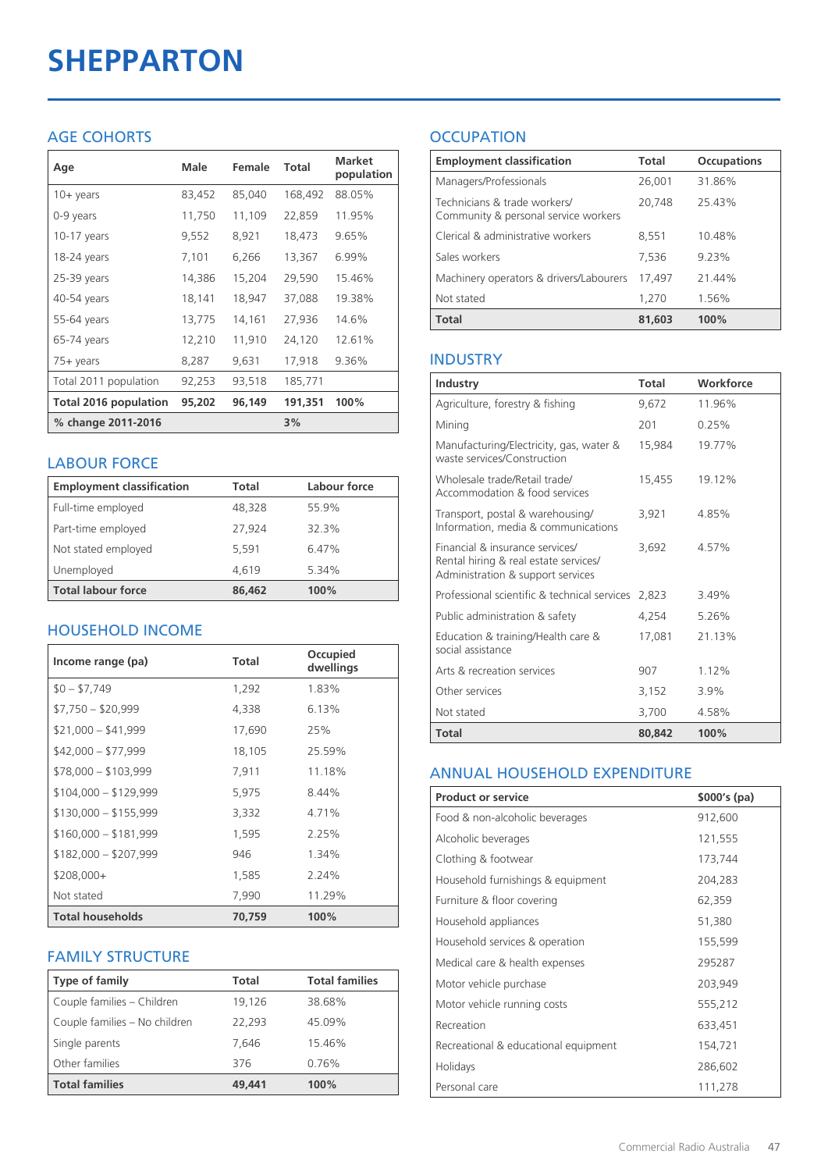# **SHEPPARTON**

#### AGE COHORTS

| Age                   | Male   | Female | Total   | <b>Market</b><br>population |
|-----------------------|--------|--------|---------|-----------------------------|
| $10 + \gamma$ ears    | 83,452 | 85,040 | 168,492 | 88.05%                      |
| 0-9 years             | 11,750 | 11,109 | 22,859  | 11.95%                      |
| 10-17 years           | 9,552  | 8,921  | 18,473  | 9.65%                       |
| 18-24 years           | 7,101  | 6,266  | 13,367  | 6.99%                       |
| 25-39 years           | 14,386 | 15,204 | 29,590  | 15.46%                      |
| 40-54 years           | 18,141 | 18,947 | 37,088  | 19.38%                      |
| 55-64 years           | 13,775 | 14,161 | 27,936  | 14.6%                       |
| 65-74 years           | 12,210 | 11,910 | 24,120  | 12.61%                      |
| 75+ years             | 8,287  | 9,631  | 17,918  | 9.36%                       |
| Total 2011 population | 92,253 | 93,518 | 185,771 |                             |
| Total 2016 population | 95,202 | 96,149 | 191,351 | 100%                        |
| % change 2011-2016    |        |        | 3%      |                             |

#### LABOUR FORCE

| <b>Employment classification</b> | Total  | Labour force |
|----------------------------------|--------|--------------|
| Full-time employed               | 48,328 | 55.9%        |
| Part-time employed               | 27.924 | 32.3%        |
| Not stated employed              | 5.591  | 6.47%        |
| Unemployed                       | 4,619  | 5.34%        |
| <b>Total labour force</b>        | 86,462 | 100%         |

#### HOUSEHOLD INCOME

| Income range (pa)       | Total  | Occupied<br>dwellings |
|-------------------------|--------|-----------------------|
| $$0 - $7,749$           | 1,292  | 1.83%                 |
| $$7,750 - $20,999$      | 4,338  | 6.13%                 |
| $$21,000 - $41,999$     | 17,690 | 25%                   |
| $$42,000 - $77,999$     | 18,105 | 25.59%                |
| $$78,000 - $103,999$    | 7,911  | 11.18%                |
| $$104,000 - $129,999$   | 5,975  | 8.44%                 |
| $$130,000 - $155,999$   | 3,332  | 4.71%                 |
| $$160,000 - $181,999$   | 1,595  | 2.25%                 |
| $$182,000 - $207,999$   | 946    | 1.34%                 |
| $$208,000+$             | 1,585  | 2.24%                 |
| Not stated              | 7,990  | 11.29%                |
| <b>Total households</b> | 70,759 | 100%                  |

#### FAMILY STRUCTURE

| <b>Type of family</b>         | Total  | <b>Total families</b> |
|-------------------------------|--------|-----------------------|
| Couple families - Children    | 19,126 | 38.68%                |
| Couple families - No children | 22.293 | 45.09%                |
| Single parents                | 7.646  | 15.46%                |
| Other families                | 376    | 0.76%                 |
| <b>Total families</b>         | 49,441 | 100%                  |

### **OCCUPATION**

| <b>Employment classification</b>                                     | <b>Total</b> | <b>Occupations</b> |
|----------------------------------------------------------------------|--------------|--------------------|
| Managers/Professionals                                               | 26,001       | 31.86%             |
| Technicians & trade workers/<br>Community & personal service workers | 20.748       | 25.43%             |
| Clerical & administrative workers                                    | 8,551        | 10.48%             |
| Sales workers                                                        | 7,536        | 9.23%              |
| Machinery operators & drivers/Labourers                              | 17.497       | 21.44%             |
| Not stated                                                           | 1,270        | 1.56%              |
| <b>Total</b>                                                         | 81,603       | 100%               |

#### INDUSTRY

| Industry                                                                                                      | Total  | Workforce |
|---------------------------------------------------------------------------------------------------------------|--------|-----------|
| Agriculture, forestry & fishing                                                                               | 9,672  | 11.96%    |
| Mining                                                                                                        | 201    | 0.25%     |
| Manufacturing/Electricity, gas, water &<br>waste services/Construction                                        | 15,984 | 19.77%    |
| Wholesale trade/Retail trade/<br>Accommodation & food services                                                | 15,455 | 19.12%    |
| Transport, postal & warehousing/<br>Information, media & communications                                       | 3,921  | 4.85%     |
| Financial & insurance services/<br>Rental hiring & real estate services/<br>Administration & support services | 3.692  | 4.57%     |
| Professional scientific & technical services                                                                  | 2,823  | 3.49%     |
| Public administration & safety                                                                                | 4,254  | 5.26%     |
| Education & training/Health care &<br>social assistance                                                       | 17,081 | 21.13%    |
| Arts & recreation services                                                                                    | 907    | 1.12%     |
| Other services                                                                                                | 3,152  | 3.9%      |
| Not stated                                                                                                    | 3,700  | 4.58%     |
| Total                                                                                                         | 80,842 | 100%      |

#### ANNUAL HOUSEHOLD EXPENDITURE

| <b>Product or service</b>            | $$000's$ (pa) |
|--------------------------------------|---------------|
| Food & non-alcoholic beverages       | 912,600       |
| Alcoholic beverages                  | 121,555       |
| Clothing & footwear                  | 173,744       |
| Household furnishings & equipment    | 204,283       |
| Furniture & floor covering           | 62,359        |
| Household appliances                 | 51,380        |
| Household services & operation       | 155,599       |
| Medical care & health expenses       | 295287        |
| Motor vehicle purchase               | 203,949       |
| Motor vehicle running costs          | 555,212       |
| Recreation                           | 633,451       |
| Recreational & educational equipment | 154,721       |
| Holidays                             | 286,602       |
| Personal care                        | 111,278       |